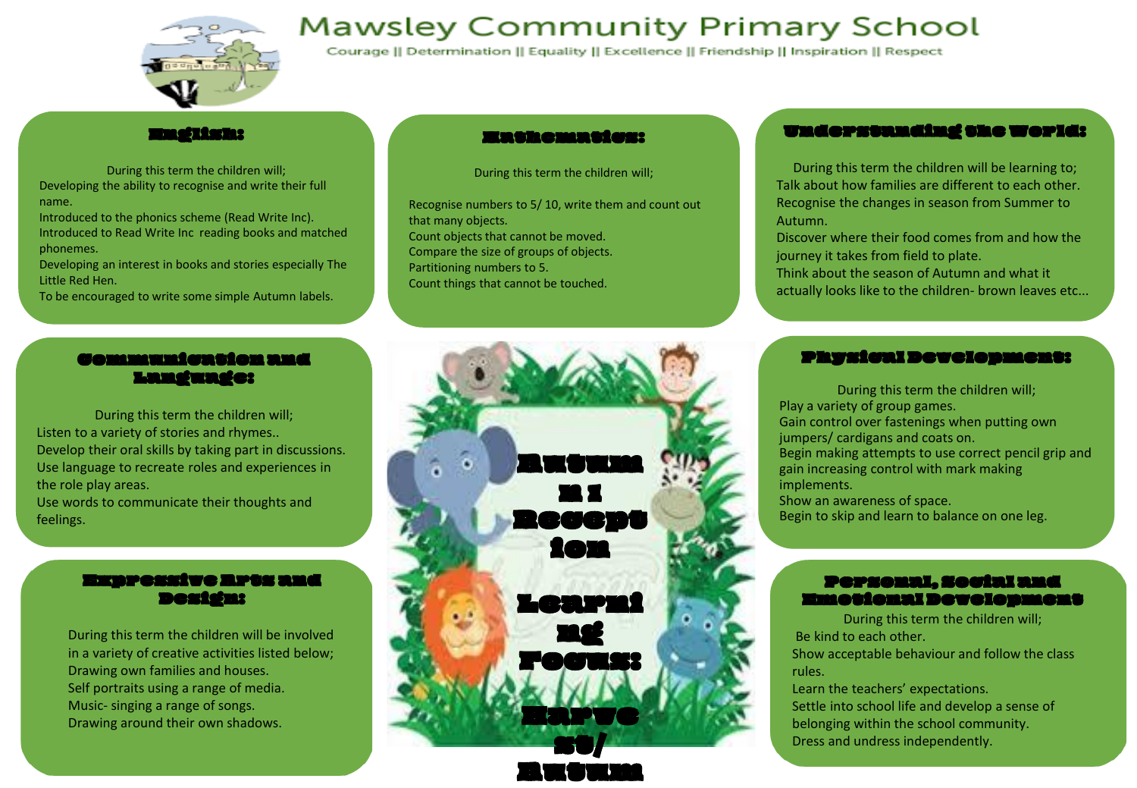

# **Mawsley Community Primary School**

Courage || Determination || Equality || Excellence || Friendship || Inspiration || Respect

### English:

During this term the children will; Developing the ability to recognise and write their full name.

Introduced to the phonics scheme (Read Write Inc). Introduced to Read Write Inc reading books and matched phonemes.

Developing an interest in books and stories especially The Little Red Hen.

To be encouraged to write some simple Autumn labels.

### Communication and Language:

During this term the children will; Listen to a variety of stories and rhymes.. Develop their oral skills by taking part in discussions. Use language to recreate roles and experiences in the role play areas. Use words to communicate their thoughts and

feelings.

### Expressive Arts and Design:

During this term the children will be involved in a variety of creative activities listed below; Drawing own families and houses. Self portraits using a range of media. Music- singing a range of songs. Drawing around their own shadows.

### Mathematics:

During this term the children will;

Recognise numbers to 5/ 10, write them and count out that many objects. Count objects that cannot be moved. Compare the size of groups of objects. Partitioning numbers to 5. Count things that cannot be touched.

# <mark>de ut ut 144</mark> n 1 Recept ion Learni ng Focus: Harve

st/ an ur uu yaa

### Understanding the World:

During this term the children will be learning to; Talk about how families are different to each other. Recognise the changes in season from Summer to Autumn.

Discover where their food comes from and how the journey it takes from field to plate.

Think about the season of Autumn and what it actually looks like to the children- brown leaves etc...

### Physical Development:

During this term the children will; Play a variety of group games. Gain control over fastenings when putting own jumpers/ cardigans and coats on. Begin making attempts to use correct pencil grip and gain increasing control with mark making implements. Show an awareness of space. Begin to skip and learn to balance on one leg.

### Personal, Social and Emotional Development

During this term the children will; Be kind to each other. Show acceptable behaviour and follow the class rules.

Learn the teachers' expectations. Settle into school life and develop a sense of belonging within the school community. Dress and undress independently.